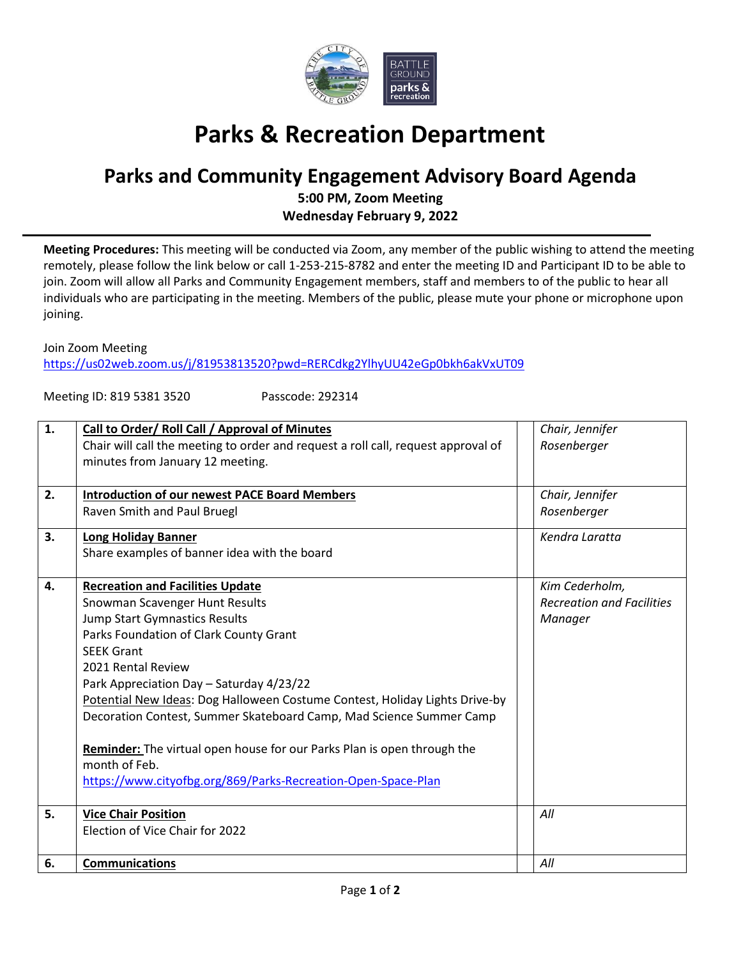

## **Parks & Recreation Department**

## **Parks and Community Engagement Advisory Board Agenda**

**5:00 PM, Zoom Meeting Wednesday February 9, 2022**

**Meeting Procedures:** This meeting will be conducted via Zoom, any member of the public wishing to attend the meeting remotely, please follow the link below or call 1-253-215-8782 and enter the meeting ID and Participant ID to be able to join. Zoom will allow all Parks and Community Engagement members, staff and members to of the public to hear all individuals who are participating in the meeting. Members of the public, please mute your phone or microphone upon joining.

Join Zoom Meeting

<https://us02web.zoom.us/j/81953813520?pwd=RERCdkg2YlhyUU42eGp0bkh6akVxUT09>

Meeting ID: 819 5381 3520 Passcode: 292314

| 1.           | Call to Order/ Roll Call / Approval of Minutes                                    | Chair, Jennifer                  |
|--------------|-----------------------------------------------------------------------------------|----------------------------------|
|              | Chair will call the meeting to order and request a roll call, request approval of | Rosenberger                      |
|              | minutes from January 12 meeting.                                                  |                                  |
|              |                                                                                   |                                  |
| 2.           | <b>Introduction of our newest PACE Board Members</b>                              | Chair, Jennifer                  |
|              | Raven Smith and Paul Bruegl                                                       | Rosenberger                      |
| 3.           | <b>Long Holiday Banner</b>                                                        | Kendra Laratta                   |
|              | Share examples of banner idea with the board                                      |                                  |
|              |                                                                                   |                                  |
| $\mathbf{4}$ | <b>Recreation and Facilities Update</b>                                           | Kim Cederholm,                   |
|              | Snowman Scavenger Hunt Results                                                    | <b>Recreation and Facilities</b> |
|              | Jump Start Gymnastics Results                                                     | Manager                          |
|              | Parks Foundation of Clark County Grant                                            |                                  |
|              | <b>SEEK Grant</b>                                                                 |                                  |
|              | 2021 Rental Review                                                                |                                  |
|              | Park Appreciation Day - Saturday 4/23/22                                          |                                  |
|              | Potential New Ideas: Dog Halloween Costume Contest, Holiday Lights Drive-by       |                                  |
|              | Decoration Contest, Summer Skateboard Camp, Mad Science Summer Camp               |                                  |
|              |                                                                                   |                                  |
|              | Reminder: The virtual open house for our Parks Plan is open through the           |                                  |
|              | month of Feb.                                                                     |                                  |
|              | https://www.cityofbg.org/869/Parks-Recreation-Open-Space-Plan                     |                                  |
|              |                                                                                   |                                  |
| 5.           | <b>Vice Chair Position</b>                                                        | All                              |
|              | Election of Vice Chair for 2022                                                   |                                  |
|              |                                                                                   |                                  |
| 6.           | <b>Communications</b>                                                             | All                              |